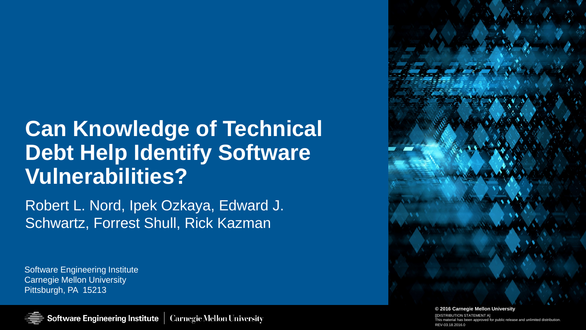# **Can Knowledge of Technical Debt Help Identify Software Vulnerabilities?**

Robert L. Nord, Ipek Ozkaya, Edward J. Schwartz, Forrest Shull, Rick Kazman

Software Engineering Institute Carnegie Mellon University Pittsburgh, PA 15213



tior [[DISTRIBUTION STATEMENT A] This material has been approved for public release and unlimited distribution. REV-03.18.2016.0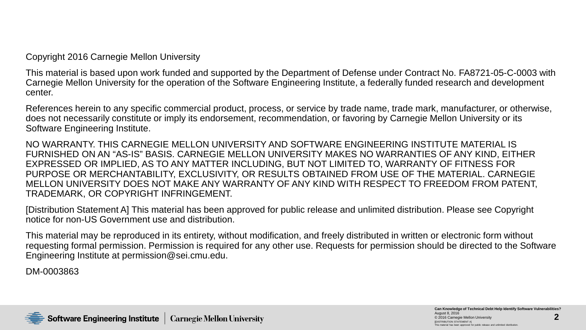Copyright 2016 Carnegie Mellon University

This material is based upon work funded and supported by the Department of Defense under Contract No. FA8721-05-C-0003 with Carnegie Mellon University for the operation of the Software Engineering Institute, a federally funded research and development center.

References herein to any specific commercial product, process, or service by trade name, trade mark, manufacturer, or otherwise, does not necessarily constitute or imply its endorsement, recommendation, or favoring by Carnegie Mellon University or its Software Engineering Institute.

NO WARRANTY. THIS CARNEGIE MELLON UNIVERSITY AND SOFTWARE ENGINEERING INSTITUTE MATERIAL IS FURNISHED ON AN "AS-IS" BASIS. CARNEGIE MELLON UNIVERSITY MAKES NO WARRANTIES OF ANY KIND, EITHER EXPRESSED OR IMPLIED, AS TO ANY MATTER INCLUDING, BUT NOT LIMITED TO, WARRANTY OF FITNESS FOR PURPOSE OR MERCHANTABILITY, EXCLUSIVITY, OR RESULTS OBTAINED FROM USE OF THE MATERIAL. CARNEGIE MELLON UNIVERSITY DOES NOT MAKE ANY WARRANTY OF ANY KIND WITH RESPECT TO FREEDOM FROM PATENT, TRADEMARK, OR COPYRIGHT INFRINGEMENT.

[Distribution Statement A] This material has been approved for public release and unlimited distribution. Please see Copyright notice for non-US Government use and distribution.

This material may be reproduced in its entirety, without modification, and freely distributed in written or electronic form without requesting formal permission. Permission is required for any other use. Requests for permission should be directed to the Software Engineering Institute at permission@sei.cmu.edu.

DM-0003863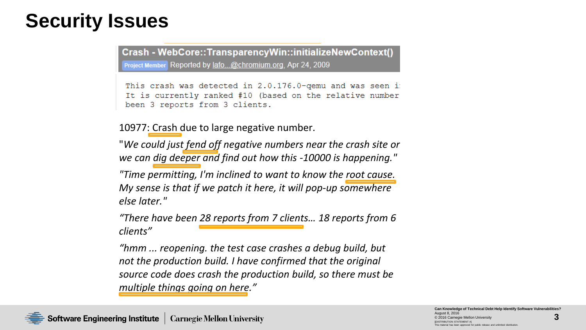#### **Security Issues**

Crash - WebCore::TransparencyWin::initializeNewContext() Project Member Reported by lafo...@chromium.org, Apr 24, 2009

This crash was detected in 2.0.176.0-qemu and was seen i: It is currently ranked #10 (based on the relative number been 3 reports from 3 clients.

10977: Crash due to large negative number.

"*We could just fend off negative numbers near the crash site or we can dig deeper and find out how this -10000 is happening."*

*"Time permitting, I'm inclined to want to know the root cause. My sense is that if we patch it here, it will pop-up somewhere else later."* 

*"There have been 28 reports from 7 clients… 18 reports from 6 clients"*

*"hmm ... reopening. the test case crashes a debug build, but not the production build. I have confirmed that the original source code does crash the production build, so there must be multiple things going on here."*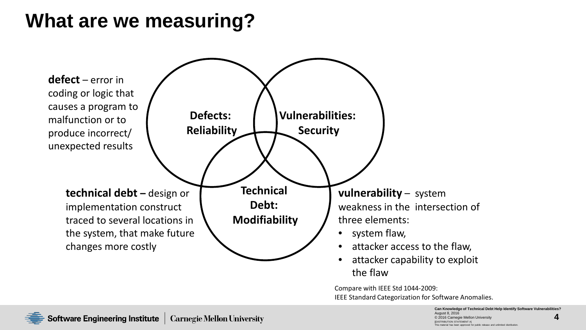#### **What are we measuring?**



Compare with IEEE Std 1044-2009: IEEE Standard Categorization for Software Anomalies.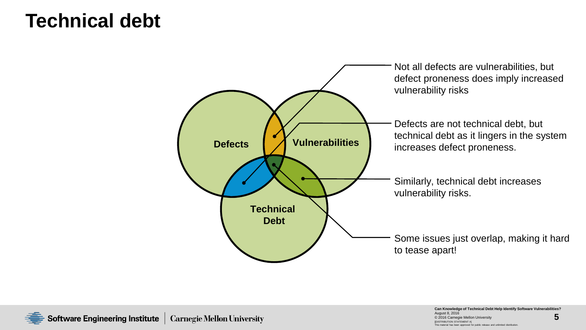#### **Technical debt**

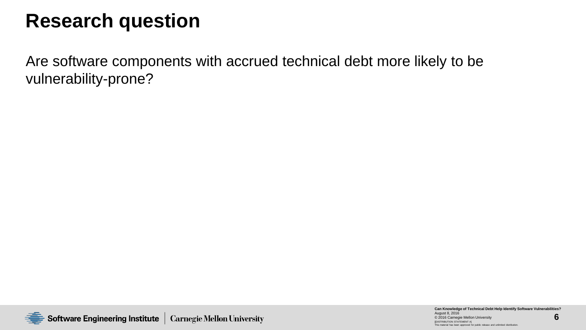#### **Research question**

Are software components with accrued technical debt more likely to be vulnerability-prone?

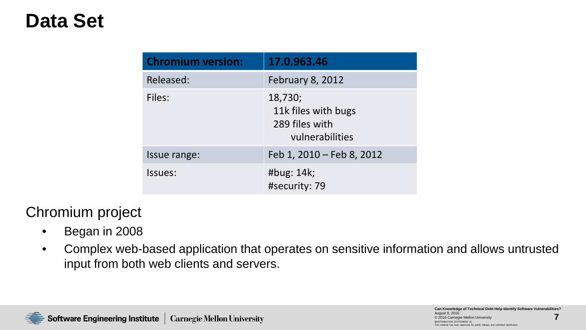### **Data Set**

| <b>Chromium version:</b> | 17.0.963.46                                                         |
|--------------------------|---------------------------------------------------------------------|
| Released:                | February 8, 2012                                                    |
| Files:                   | 18,730;<br>11k files with bugs<br>289 files with<br>vulnerabilities |
| Issue range:             | Feb 1, 2010 - Feb 8, 2012                                           |
| Issues:                  | #bug: 14k;<br>#security: 79                                         |

#### Chromium project

- Began in 2008
- Complex web-based application that operates on sensitive information and allows untrusted input from both web clients and servers.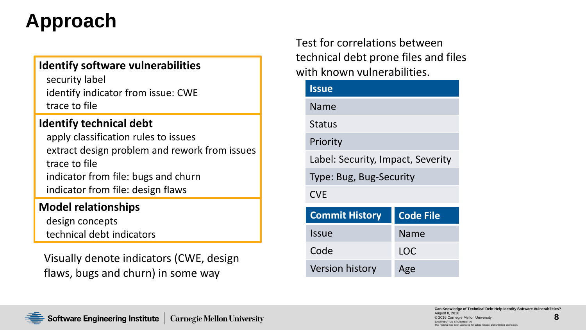# **Approach**

#### **Identify software vulnerabilities**

security label identify indicator from issue: CWE trace to file

#### **Identify technical debt**

apply classification rules to issues extract design problem and rework from issues trace to file indicator from file: bugs and churn indicator from file: design flaws

#### **Model relationships**

design concepts technical debt indicators

Visually denote indicators (CWE, design flaws, bugs and churn) in some way

Test for correlations between technical debt prone files and files with known vulnerabilities.

| <b>Issue</b>                      |                  |  |  |  |  |
|-----------------------------------|------------------|--|--|--|--|
| Name                              |                  |  |  |  |  |
| <b>Status</b>                     |                  |  |  |  |  |
| Priority                          |                  |  |  |  |  |
| Label: Security, Impact, Severity |                  |  |  |  |  |
| Type: Bug, Bug-Security           |                  |  |  |  |  |
| <b>CVE</b>                        |                  |  |  |  |  |
| <b>Commit History</b>             | <b>Code File</b> |  |  |  |  |
| <b>Issue</b>                      | Name             |  |  |  |  |
| Code                              | LOC              |  |  |  |  |
| <b>Version history</b>            | Age              |  |  |  |  |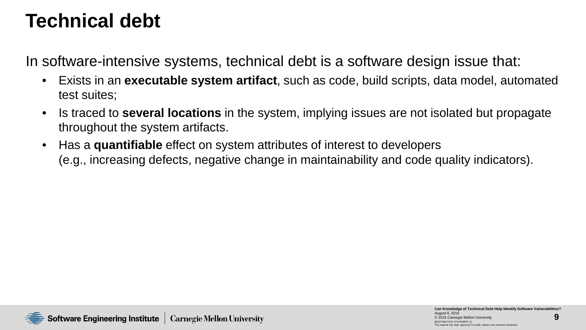#### **Technical debt**

In software-intensive systems, technical debt is a software design issue that:

- Exists in an **executable system artifact**, such as code, build scripts, data model, automated test suites;
- Is traced to **several locations** in the system, implying issues are not isolated but propagate throughout the system artifacts.
- Has a **quantifiable** effect on system attributes of interest to developers (e.g., increasing defects, negative change in maintainability and code quality indicators).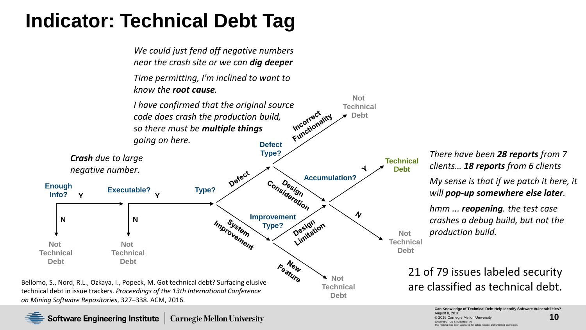### **Indicator: Technical Debt Tag**



**Software Engineering Institute** Carnegie Mellon University *There have been 28 reports from 7 clients… 18 reports from 6 clients*

*My sense is that if we patch it here, it will pop-up somewhere else later.* 

*hmm ... reopening. the test case crashes a debug build, but not the production build.* 

# 21 of 79 issues labeled security

**10 Can Knowledge of Technical Debt Help Identify Software Vulnerabilities?** August 8, 2016 © 2016 Carnegie Mellon Universit DISTRIBUTION STATEMENT A] aterial has been approved for publi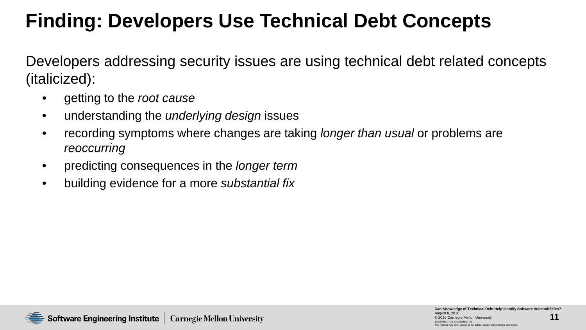# **Finding: Developers Use Technical Debt Concepts**

Developers addressing security issues are using technical debt related concepts (italicized):

- getting to the *root cause*
- understanding the *underlying design* issues
- recording symptoms where changes are taking *longer than usual* or problems are *reoccurring*
- predicting consequences in the *longer term*
- building evidence for a more *substantial fix*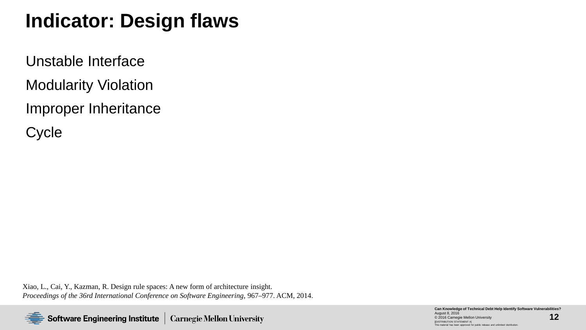### **Indicator: Design flaws**

Unstable Interface Modularity Violation Improper Inheritance

**Cycle** 

Xiao, L., Cai, Y., Kazman, R. Design rule spaces: A new form of architecture insight. *Proceedings of the 36rd International Conference on Software Engineering*, 967–977. ACM, 2014.

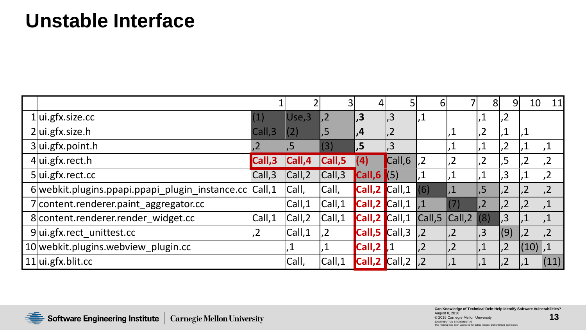#### **Unstable Interface**

|                                                        |                 |         |                |                                                    |                | 6                  |                 | 8               | 91              | 10              | 11             |
|--------------------------------------------------------|-----------------|---------|----------------|----------------------------------------------------|----------------|--------------------|-----------------|-----------------|-----------------|-----------------|----------------|
| $1$  ui.gfx.size.cc                                    | (1)             | Use,3   | .2             | .3                                                 | $\sqrt{3}$     |                    |                 | .1              | ,2              |                 |                |
| $2$ ui.gfx.size.h                                      | Call,3          | (2)     | ,5             | , 4                                                | $\overline{2}$ |                    | $\cdot$ 1       | ,2              | $\overline{.1}$ | $\cdot$ 1       |                |
| $3$ ui.gfx.point.h                                     | $\overline{.2}$ | ,5      | $\vert (3)$    | , 5                                                | $\overline{3}$ |                    |                 | ,1              | ,2              | ,1              | $\vert$ ,1     |
| $4$ ui.gfx.rect.h                                      | Call,3          | Call, 4 | Call,5         |                                                    | Call,6         | .2                 | .2              | ,2              | .,5             | ,2              | ,2             |
| $5$ ui.gfx.rect.cc                                     | Call,3          | Call, 2 | Call,3         | $\textsf{Call},\textsf{6} \textsf{ } (\textsf{5})$ |                |                    |                 | ,1              | , 3             |                 | ,2             |
| 6 webkit.plugins.ppapi.ppapi_plugin_instance.cc Call,1 |                 | Call,   | Call,          | Call,2 Call,1                                      |                | (6)                |                 | $\sqrt{5}$      | ,2              | $\overline{2}$  | $\vert$ ,2     |
| 7 content.renderer.paint_aggregator.cc                 |                 | Call,1  | Call,1         | Call,2 Call,1                                      |                |                    | $\vert (7)$     | $\overline{.2}$ | $\overline{2}$  | $.2^{7}$        | ,1             |
| 8 content.renderer.render widget.cc                    | Call,1          | Call, 2 | Call,1         | Call,2 Call,1                                      |                | $\mathsf{Call}, 5$ | Call,2          | (8)             | , 3             | $\overline{.1}$ | ,1             |
| $9$ ui.gfx.rect unittest.cc                            | ,2              | Call,1  | 2 <sub>1</sub> | Call,5 Call,3                                      |                | $\overline{.2}$    | $\overline{2}$  | .3 <sup>7</sup> | (9)             | $\overline{2}$  | $\overline{2}$ |
| 10 webkit.plugins.webview plugin.cc                    |                 |         | .1             | $Call,2$ $1$                                       |                |                    | $\overline{.2}$ | $\sqrt{1}$      | ,2              | (10) ,1         |                |
| $11$  ui.gfx.blit.cc                                   |                 | Call,   | Call,1         | Call,2 Call,2                                      |                |                    |                 | $\overline{.1}$ | $\overline{2}$  |                 | (11)           |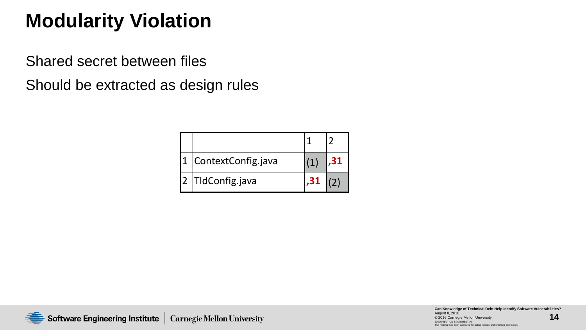# **Modularity Violation**

Shared secret between files

Should be extracted as design rules

| ContextConfig.java |  |
|--------------------|--|
| 2 TldConfig.java   |  |

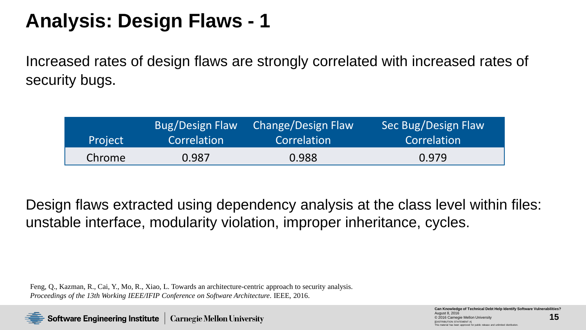### **Analysis: Design Flaws - 1**

Increased rates of design flaws are strongly correlated with increased rates of security bugs.

| Project | <b>Bug/Design Flaw</b> | Change/Design Flaw | Sec Bug/Design Flaw |
|---------|------------------------|--------------------|---------------------|
|         | Correlation            | Correlation        | Correlation         |
| Chrome  | 0.987                  | 0.988              | 0.979               |

Design flaws extracted using dependency analysis at the class level within files: unstable interface, modularity violation, improper inheritance, cycles.

Feng, Q., Kazman, R., Cai, Y., Mo, R., Xiao, L. Towards an architecture-centric approach to security analysis. *Proceedings of the 13th Working IEEE/IFIP Conference on Software Architecture*. IEEE, 2016.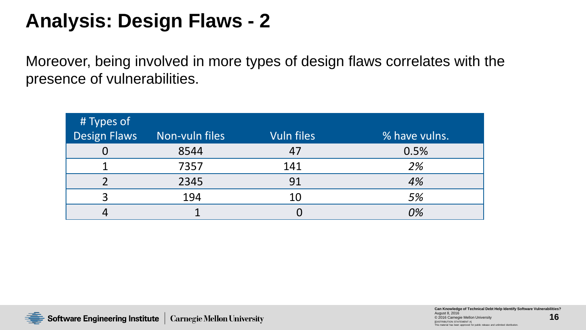### **Analysis: Design Flaws - 2**

Moreover, being involved in more types of design flaws correlates with the presence of vulnerabilities.

| # Types of          |                |                   |               |
|---------------------|----------------|-------------------|---------------|
| <b>Design Flaws</b> | Non-vuln files | <b>Vuln files</b> | % have vulns. |
|                     | 8544           |                   | 0.5%          |
|                     | 7357           | 141               | 2%            |
|                     | 2345           | 91                | 4%            |
| $\mathcal{R}$       | 194            | 10                | 5%            |
|                     |                |                   | <i>0%</i>     |

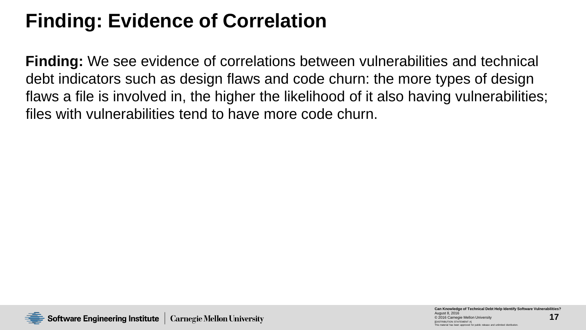# **Finding: Evidence of Correlation**

**Finding:** We see evidence of correlations between vulnerabilities and technical debt indicators such as design flaws and code churn: the more types of design flaws a file is involved in, the higher the likelihood of it also having vulnerabilities; files with vulnerabilities tend to have more code churn.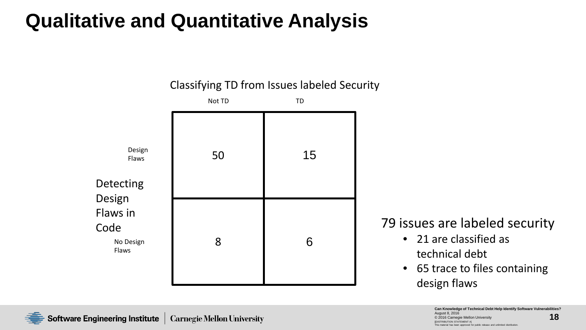# **Qualitative and Quantitative Analysis**

Classifying TD from Issues labeled Security



#### 79 issues are labeled security

- 21 are classified as technical debt
- 65 trace to files containing design flaws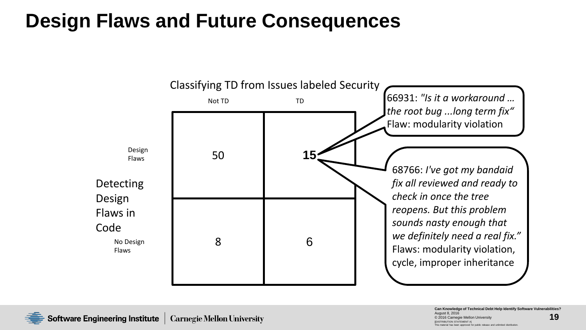### **Design Flaws and Future Consequences**



Software Engineering Institute Carnegie Mellon University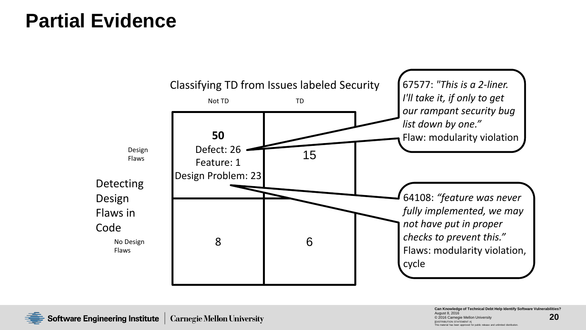#### **Partial Evidence**



**20 Can Knowledge of Technical Debt Help Identify Software Vulnerabilities?** August 8, 2016 © 2016 Carnegie Mellon Universit DISTRIBUTION STATEMENT A] Iterial has been approved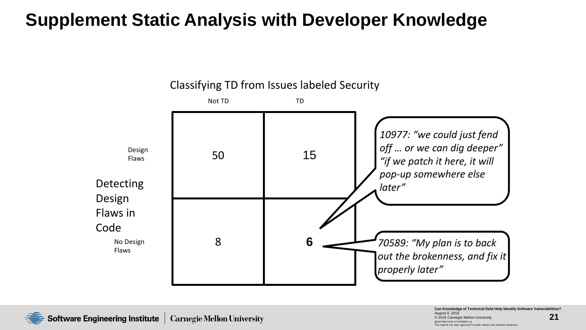#### **Supplement Static Analysis with Developer Knowledge**



Classifying TD from Issues labeled Security



**21 Can Knowledge of Technical Debt Help Identify Software Vulnerabilities?** August 8, 2016 2016 Carnegie Mellon Universit DISTRIBUTION STATEMENT A] aterial has been approved for public release and unlimited distribution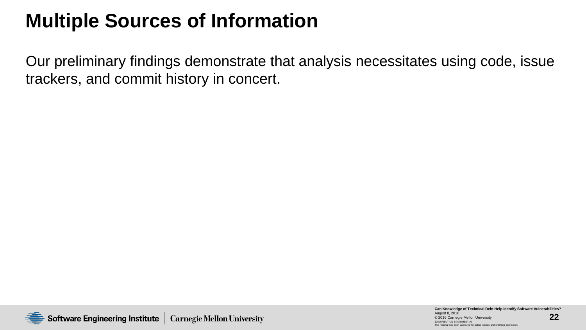# **Multiple Sources of Information**

Our preliminary findings demonstrate that analysis necessitates using code, issue trackers, and commit history in concert.

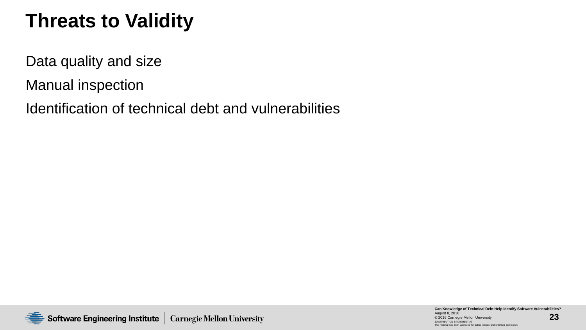# **Threats to Validity**

Data quality and size

Manual inspection

Identification of technical debt and vulnerabilities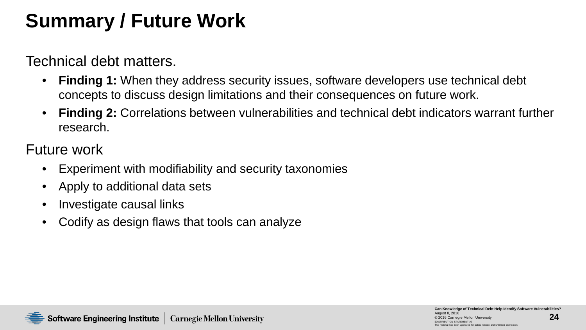# **Summary / Future Work**

Technical debt matters.

- **Finding 1:** When they address security issues, software developers use technical debt concepts to discuss design limitations and their consequences on future work.
- **Finding 2:** Correlations between vulnerabilities and technical debt indicators warrant further research.

Future work

- Experiment with modifiability and security taxonomies
- Apply to additional data sets
- Investigate causal links
- Codify as design flaws that tools can analyze

**24**